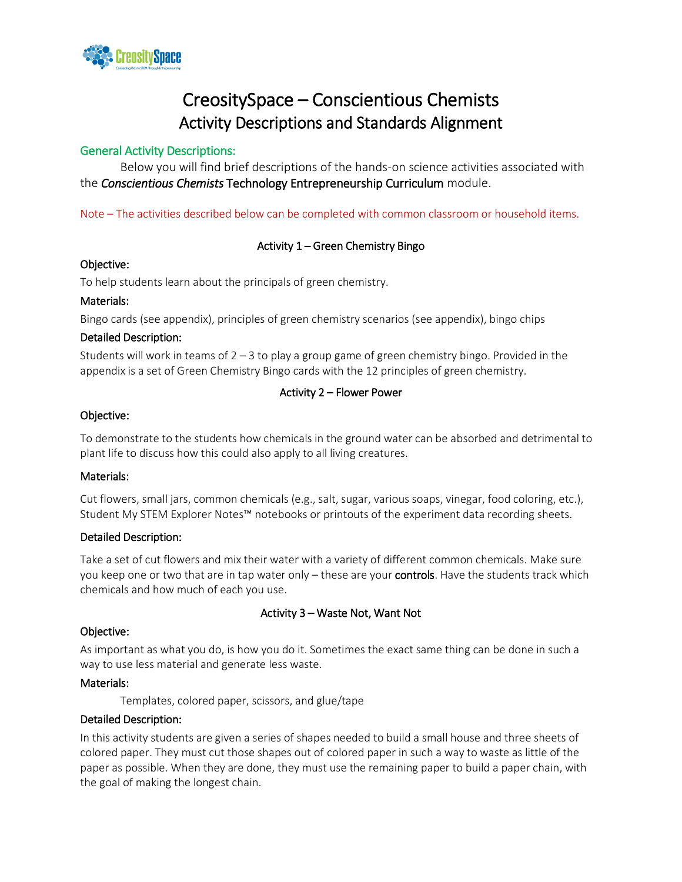

# CreositySpace – Conscientious Chemists Activity Descriptions and Standards Alignment

## General Activity Descriptions:

Below you will find brief descriptions of the hands-on science activities associated with the *Conscientious Chemists* Technology Entrepreneurship Curriculum module.

Note – The activities described below can be completed with common classroom or household items.

## Activity 1 – Green Chemistry Bingo

#### Objective:

To help students learn about the principals of green chemistry.

#### Materials:

Bingo cards (see appendix), principles of green chemistry scenarios (see appendix), bingo chips

#### Detailed Description:

Students will work in teams of  $2 - 3$  to play a group game of green chemistry bingo. Provided in the appendix is a set of Green Chemistry Bingo cards with the 12 principles of green chemistry.

#### Activity 2 – Flower Power

#### Objective:

To demonstrate to the students how chemicals in the ground water can be absorbed and detrimental to plant life to discuss how this could also apply to all living creatures.

#### Materials:

Cut flowers, small jars, common chemicals (e.g., salt, sugar, various soaps, vinegar, food coloring, etc.), Student My STEM Explorer Notes™ notebooks or printouts of the experiment data recording sheets.

#### Detailed Description:

Take a set of cut flowers and mix their water with a variety of different common chemicals. Make sure you keep one or two that are in tap water only - these are your controls. Have the students track which chemicals and how much of each you use.

## Activity 3 – Waste Not, Want Not

#### Objective:

As important as what you do, is how you do it. Sometimes the exact same thing can be done in such a way to use less material and generate less waste.

#### Materials:

Templates, colored paper, scissors, and glue/tape

#### Detailed Description:

In this activity students are given a series of shapes needed to build a small house and three sheets of colored paper. They must cut those shapes out of colored paper in such a way to waste as little of the paper as possible. When they are done, they must use the remaining paper to build a paper chain, with the goal of making the longest chain.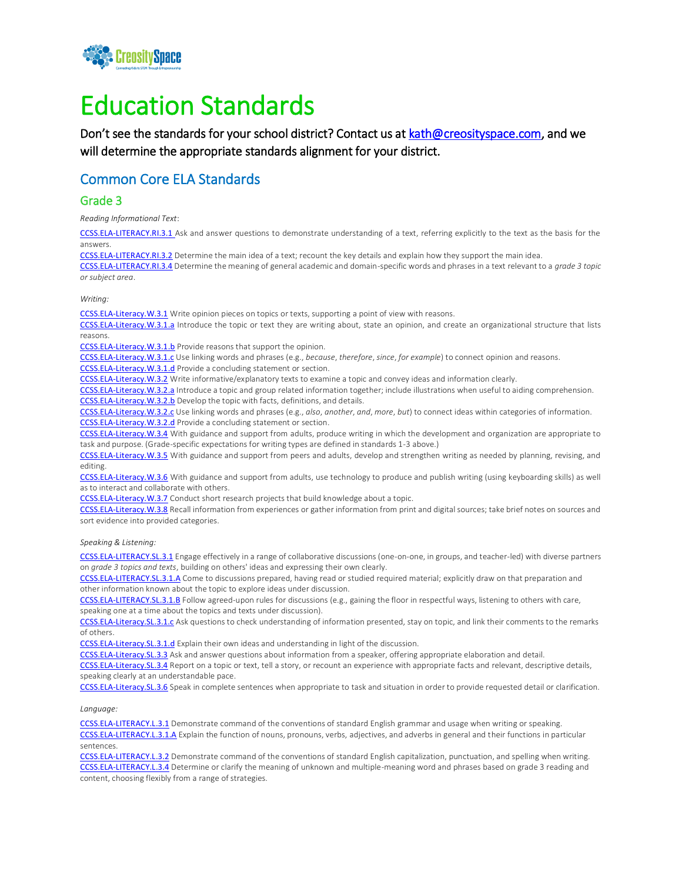

# Education Standards

Don't see the standards for your school district? Contact us at [kath@creosityspace.com,](mailto:kath@creosityspace.com) and we will determine the appropriate standards alignment for your district.

## Common Core ELA Standards

#### Grade 3

*Reading Informational Text*:

[CCSS.ELA-LITERACY.RI.3.1](http://www.corestandards.org/ELA-Literacy/RI/3/1/) Ask and answer questions to demonstrate understanding of a text, referring explicitly to the text as the basis for the answers.

[CCSS.ELA-LITERACY.RI.3.2](http://www.corestandards.org/ELA-Literacy/RI/3/2/) Determine the main idea of a text; recount the key details and explain how they support the main idea.

[CCSS.ELA-LITERACY.RI.3.4](http://www.corestandards.org/ELA-Literacy/RI/3/4/) Determine the meaning of general academic and domain-specific words and phrases in a text relevant to a *grade 3 topic or subject area*.

#### *Writing:*

[CCSS.ELA-Literacy.W.3.1](http://www.corestandards.org/ELA-Literacy/W/3/1/) Write opinion pieces on topics or texts, supporting a point of view with reasons.

[CCSS.ELA-Literacy.W.3.1.a](http://www.corestandards.org/ELA-Literacy/W/3/1/a/) Introduce the topic or text they are writing about, state an opinion, and create an organizational structure that lists reasons.

[CCSS.ELA-Literacy.W.3.1.b](http://www.corestandards.org/ELA-Literacy/W/3/1/b/) Provide reasons that support the opinion.

[CCSS.ELA-Literacy.W.3.1.c](http://www.corestandards.org/ELA-Literacy/W/3/1/c/) Use linking words and phrases (e.g., *because*, *therefore*, *since*, *for example*) to connect opinion and reasons.

[CCSS.ELA-Literacy.W.3.1.d](http://www.corestandards.org/ELA-Literacy/W/3/1/d/) Provide a concluding statement or section.

[CCSS.ELA-Literacy.W.3.2](http://www.corestandards.org/ELA-Literacy/W/3/2/) Write informative/explanatory texts to examine a topic and convey ideas and information clearly.

[CCSS.ELA-Literacy.W.3.2.a](http://www.corestandards.org/ELA-Literacy/W/3/2/a/) Introduce a topic and group related information together; include illustrations when useful to aiding comprehension. [CCSS.ELA-Literacy.W.3.2.b](http://www.corestandards.org/ELA-Literacy/W/3/2/b/) Develop the topic with facts, definitions, and details.

[CCSS.ELA-Literacy.W.3.2.c](http://www.corestandards.org/ELA-Literacy/W/3/2/c/) Use linking words and phrases (e.g., *also*, *another*, *and*, *more*, *but*) to connect ideas within categories of information. [CCSS.ELA-Literacy.W.3.2.d](http://www.corestandards.org/ELA-Literacy/W/3/2/d/) Provide a concluding statement or section.

[CCSS.ELA-Literacy.W.3.4](http://www.corestandards.org/ELA-Literacy/W/3/4/) With guidance and support from adults, produce writing in which the development and organization are appropriate to task and purpose. (Grade-specific expectations for writing types are defined in standards 1-3 above.)

[CCSS.ELA-Literacy.W.3.5](http://www.corestandards.org/ELA-Literacy/W/3/5/) With guidance and support from peers and adults, develop and strengthen writing as needed by planning, revising, and editing.

[CCSS.ELA-Literacy.W.3.6](http://www.corestandards.org/ELA-Literacy/W/3/6/) With guidance and support from adults, use technology to produce and publish writing (using keyboarding skills) as well as to interact and collaborate with others.

[CCSS.ELA-Literacy.W.3.7](http://www.corestandards.org/ELA-Literacy/W/3/7/) Conduct short research projects that build knowledge about a topic.

[CCSS.ELA-Literacy.W.3.8](http://www.corestandards.org/ELA-Literacy/W/3/8/) Recall information from experiences or gather information from print and digital sources; take brief notes on sources and sort evidence into provided categories.

*Speaking & Listening:*

[CCSS.ELA-LITERACY.SL.3.1](http://www.corestandards.org/ELA-Literacy/SL/3/1/) Engage effectively in a range of collaborative discussions (one-on-one, in groups, and teacher-led) with diverse partners on *grade 3 topics and texts*, building on others' ideas and expressing their own clearly.

[CCSS.ELA-LITERACY.SL.3.1.A](http://www.corestandards.org/ELA-Literacy/SL/3/1/a/) Come to discussions prepared, having read or studied required material; explicitly draw on that preparation and other information known about the topic to explore ideas under discussion.

[CCSS.ELA-LITERACY.SL.3.1.B](http://www.corestandards.org/ELA-Literacy/SL/3/1/b/) Follow agreed-upon rules for discussions (e.g., gaining the floor in respectful ways, listening to others with care, speaking one at a time about the topics and texts under discussion).

[CCSS.ELA-Literacy.SL.3.1.c](http://www.corestandards.org/ELA-Literacy/SL/3/1/c/) Ask questions to check understanding of information presented, stay on topic, and link their comments to the remarks of others.

[CCSS.ELA-Literacy.SL.3.1.d](http://www.corestandards.org/ELA-Literacy/SL/3/1/d/) Explain their own ideas and understanding in light of the discussion.

[CCSS.ELA-Literacy.SL.3.3](http://www.corestandards.org/ELA-Literacy/SL/3/3/) Ask and answer questions about information from a speaker, offering appropriate elaboration and detail.

[CCSS.ELA-Literacy.SL.3.4](http://www.corestandards.org/ELA-Literacy/SL/3/4/) Report on a topic or text, tell a story, or recount an experience with appropriate facts and relevant, descriptive details, speaking clearly at an understandable pace.

[CCSS.ELA-Literacy.SL.3.6](http://www.corestandards.org/ELA-Literacy/SL/3/6/) Speak in complete sentences when appropriate to task and situation in order to provide requested detail or clarification.

*Language:*

[CCSS.ELA-LITERACY.L.3.1](http://www.corestandards.org/ELA-Literacy/L/3/1/) Demonstrate command of the conventions of standard English grammar and usage when writing or speaking. [CCSS.ELA-LITERACY.L.3.1.A](http://www.corestandards.org/ELA-Literacy/L/3/1/a/) Explain the function of nouns, pronouns, verbs, adjectives, and adverbs in general and their functions in particular sentences.

[CCSS.ELA-LITERACY.L.3.2](http://www.corestandards.org/ELA-Literacy/L/3/2/) Demonstrate command of the conventions of standard English capitalization, punctuation, and spelling when writing. [CCSS.ELA-LITERACY.L.3.4](http://www.corestandards.org/ELA-Literacy/L/3/4/) Determine or clarify the meaning of unknown and multiple-meaning word and phrases based on grade 3 reading and content, choosing flexibly from a range of strategies.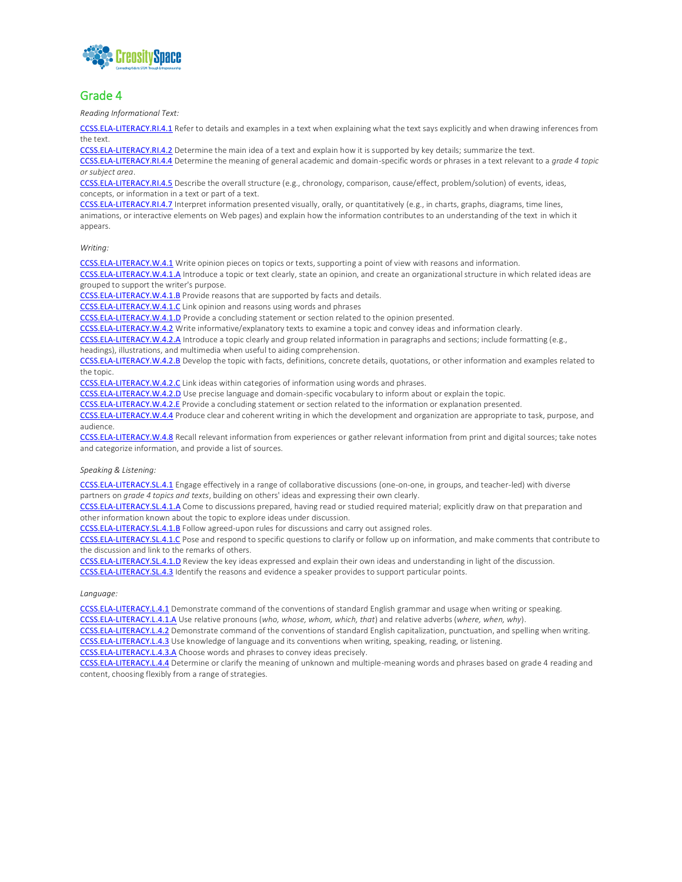

#### Grade 4

*Reading Informational Text:*

[CCSS.ELA-LITERACY.RI.4.1](http://www.corestandards.org/ELA-Literacy/RI/4/1/) Refer to details and examples in a text when explaining what the text says explicitly and when drawing inferences from the text.

[CCSS.ELA-LITERACY.RI.4.2](http://www.corestandards.org/ELA-Literacy/RI/4/2/) Determine the main idea of a text and explain how it is supported by key details; summarize the text.

[CCSS.ELA-LITERACY.RI.4.4](http://www.corestandards.org/ELA-Literacy/RI/4/4/) Determine the meaning of general academic and domain-specific words or phrases in a text relevant to a *grade 4 topic or subject area*.

[CCSS.ELA-LITERACY.RI.4.5](http://www.corestandards.org/ELA-Literacy/RI/4/5/) Describe the overall structure (e.g., chronology, comparison, cause/effect, problem/solution) of events, ideas, concepts, or information in a text or part of a text.

[CCSS.ELA-LITERACY.RI.4.7](http://www.corestandards.org/ELA-Literacy/RI/4/7/) Interpret information presented visually, orally, or quantitatively (e.g., in charts, graphs, diagrams, time lines,

animations, or interactive elements on Web pages) and explain how the information contributes to an understanding of the text in which it appears.

#### *Writing:*

[CCSS.ELA-LITERACY.W.4.1](http://www.corestandards.org/ELA-Literacy/W/4/1/) Write opinion pieces on topics or texts, supporting a point of view with reasons and information.

[CCSS.ELA-LITERACY.W.4.1.A](http://www.corestandards.org/ELA-Literacy/W/4/1/a/) Introduce a topic or text clearly, state an opinion, and create an organizational structure in which related ideas are grouped to support the writer's purpose.

[CCSS.ELA-LITERACY.W.4.1.B](http://www.corestandards.org/ELA-Literacy/W/4/1/b/) Provide reasons that are supported by facts and details.

[CCSS.ELA-LITERACY.W.4.1.C](http://www.corestandards.org/ELA-Literacy/W/4/1/c/) Link opinion and reasons using words and phrases

[CCSS.ELA-LITERACY.W.4.1.D](http://www.corestandards.org/ELA-Literacy/W/4/1/d/) Provide a concluding statement or section related to the opinion presented.

[CCSS.ELA-LITERACY.W.4.2](http://www.corestandards.org/ELA-Literacy/W/4/2/) Write informative/explanatory texts to examine a topic and convey ideas and information clearly.

[CCSS.ELA-LITERACY.W.4.2.A](http://www.corestandards.org/ELA-Literacy/W/4/2/a/) Introduce a topic clearly and group related information in paragraphs and sections; include formatting (e.g.,

headings), illustrations, and multimedia when useful to aiding comprehension.

[CCSS.ELA-LITERACY.W.4.2.B](http://www.corestandards.org/ELA-Literacy/W/4/2/b/) Develop the topic with facts, definitions, concrete details, quotations, or other information and examples related to the topic.

[CCSS.ELA-LITERACY.W.4.2.C](http://www.corestandards.org/ELA-Literacy/W/4/2/c/) Link ideas within categories of information using words and phrases.

[CCSS.ELA-LITERACY.W.4.2.D](http://www.corestandards.org/ELA-Literacy/W/4/2/d/) Use precise language and domain-specific vocabulary to inform about or explain the topic.

[CCSS.ELA-LITERACY.W.4.2.E](http://www.corestandards.org/ELA-Literacy/W/4/2/e/) Provide a concluding statement or section related to the information or explanation presented.

[CCSS.ELA-LITERACY.W.4.4](http://www.corestandards.org/ELA-Literacy/W/4/4/) Produce clear and coherent writing in which the development and organization are appropriate to task, purpose, and audience.

[CCSS.ELA-LITERACY.W.4.8](http://www.corestandards.org/ELA-Literacy/W/4/8/) Recall relevant information from experiences or gather relevant information from print and digital sources; take notes and categorize information, and provide a list of sources.

#### *Speaking & Listening:*

[CCSS.ELA-LITERACY.SL.4.1](http://www.corestandards.org/ELA-Literacy/SL/4/1/) Engage effectively in a range of collaborative discussions (one-on-one, in groups, and teacher-led) with diverse partners on *grade 4 topics and texts*, building on others' ideas and expressing their own clearly.

[CCSS.ELA-LITERACY.SL.4.1.A](http://www.corestandards.org/ELA-Literacy/SL/4/1/a/) Come to discussions prepared, having read or studied required material; explicitly draw on that preparation and other information known about the topic to explore ideas under discussion.

[CCSS.ELA-LITERACY.SL.4.1.B](http://www.corestandards.org/ELA-Literacy/SL/4/1/b/) Follow agreed-upon rules for discussions and carry out assigned roles.

[CCSS.ELA-LITERACY.SL.4.1.C](http://www.corestandards.org/ELA-Literacy/SL/4/1/c/) Pose and respond to specific questions to clarify or follow up on information, and make comments that contribute to the discussion and link to the remarks of others.

[CCSS.ELA-LITERACY.SL.4.1.D](http://www.corestandards.org/ELA-Literacy/SL/4/1/d/) Review the key ideas expressed and explain their own ideas and understanding in light of the discussion.

[CCSS.ELA-LITERACY.SL.4.3](http://www.corestandards.org/ELA-Literacy/SL/4/3/) Identify the reasons and evidence a speaker provides to support particular points.

#### *Language:*

[CCSS.ELA-LITERACY.L.4.1](http://www.corestandards.org/ELA-Literacy/L/4/1/) Demonstrate command of the conventions of standard English grammar and usage when writing or speaking.

[CCSS.ELA-LITERACY.L.4.1.A](http://www.corestandards.org/ELA-Literacy/L/4/1/a/) Use relative pronouns (*who, whose, whom, which, that*) and relative adverbs (*where, when, why*).

[CCSS.ELA-LITERACY.L.4.2](http://www.corestandards.org/ELA-Literacy/L/4/2/) Demonstrate command of the conventions of standard English capitalization, punctuation, and spelling when writing. [CCSS.ELA-LITERACY.L.4.3](http://www.corestandards.org/ELA-Literacy/L/4/3/) Use knowledge of language and its conventions when writing, speaking, reading, or listening.

[CCSS.ELA-LITERACY.L.4.3.A](http://www.corestandards.org/ELA-Literacy/L/4/3/a/) Choose words and phrases to convey ideas precisely.

[CCSS.ELA-LITERACY.L.4.4](http://www.corestandards.org/ELA-Literacy/L/4/4/) Determine or clarify the meaning of unknown and multiple-meaning words and phrases based on grade 4 reading and content, choosing flexibly from a range of strategies.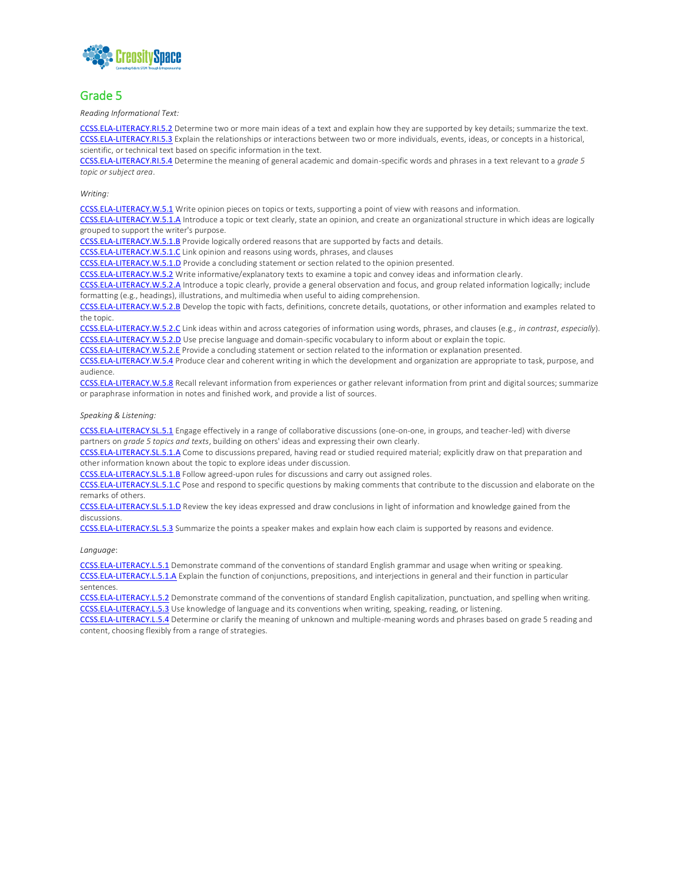

#### Grade 5

*Reading Informational Text:*

[CCSS.ELA-LITERACY.RI.5.2](http://www.corestandards.org/ELA-Literacy/RI/5/2/) Determine two or more main ideas of a text and explain how they are supported by key details; summarize the text. [CCSS.ELA-LITERACY.RI.5.3](http://www.corestandards.org/ELA-Literacy/RI/5/3/) Explain the relationships or interactions between two or more individuals, events, ideas, or concepts in a historical, scientific, or technical text based on specific information in the text.

[CCSS.ELA-LITERACY.RI.5.4](http://www.corestandards.org/ELA-Literacy/RI/5/4/) Determine the meaning of general academic and domain-specific words and phrases in a text relevant to a *grade 5 topic or subject area*.

*Writing:*

[CCSS.ELA-LITERACY.W.5.1](http://www.corestandards.org/ELA-Literacy/W/5/1/) Write opinion pieces on topics or texts, supporting a point of view with reasons and information.

[CCSS.ELA-LITERACY.W.5.1.A](http://www.corestandards.org/ELA-Literacy/W/5/1/a/) Introduce a topic or text clearly, state an opinion, and create an organizational structure in which ideas are logically grouped to support the writer's purpose.

[CCSS.ELA-LITERACY.W.5.1.B](http://www.corestandards.org/ELA-Literacy/W/5/1/b/) Provide logically ordered reasons that are supported by facts and details.

[CCSS.ELA-LITERACY.W.5.1.C](http://www.corestandards.org/ELA-Literacy/W/5/1/c/) Link opinion and reasons using words, phrases, and clauses

[CCSS.ELA-LITERACY.W.5.1.D](http://www.corestandards.org/ELA-Literacy/W/5/1/d/) Provide a concluding statement or section related to the opinion presented.

[CCSS.ELA-LITERACY.W.5.2](http://www.corestandards.org/ELA-Literacy/W/5/2/) Write informative/explanatory texts to examine a topic and convey ideas and information clearly.

[CCSS.ELA-LITERACY.W.5.2.A](http://www.corestandards.org/ELA-Literacy/W/5/2/a/) Introduce a topic clearly, provide a general observation and focus, and group related information logically; include formatting (e.g., headings), illustrations, and multimedia when useful to aiding comprehension.

[CCSS.ELA-LITERACY.W.5.2.B](http://www.corestandards.org/ELA-Literacy/W/5/2/b/) Develop the topic with facts, definitions, concrete details, quotations, or other information and examples related to the topic.

[CCSS.ELA-LITERACY.W.5.2.C](http://www.corestandards.org/ELA-Literacy/W/5/2/c/) Link ideas within and across categories of information using words, phrases, and clauses (e.g., *in contrast*, *especially*). [CCSS.ELA-LITERACY.W.5.2.D](http://www.corestandards.org/ELA-Literacy/W/5/2/d/) Use precise language and domain-specific vocabulary to inform about or explain the topic.

[CCSS.ELA-LITERACY.W.5.2.E](http://www.corestandards.org/ELA-Literacy/W/5/2/e/) Provide a concluding statement or section related to the information or explanation presented.

[CCSS.ELA-LITERACY.W.5.4](http://www.corestandards.org/ELA-Literacy/W/5/4/) Produce clear and coherent writing in which the development and organization are appropriate to task, purpose, and audience.

[CCSS.ELA-LITERACY.W.5.8](http://www.corestandards.org/ELA-Literacy/W/5/8/) Recall relevant information from experiences or gather relevant information from print and digital sources; summarize or paraphrase information in notes and finished work, and provide a list of sources.

*Speaking & Listening:*

[CCSS.ELA-LITERACY.SL.5.1](http://www.corestandards.org/ELA-Literacy/SL/5/1/) Engage effectively in a range of collaborative discussions (one-on-one, in groups, and teacher-led) with diverse partners on *grade 5 topics and texts*, building on others' ideas and expressing their own clearly.

[CCSS.ELA-LITERACY.SL.5.1.A](http://www.corestandards.org/ELA-Literacy/SL/5/1/a/) Come to discussions prepared, having read or studied required material; explicitly draw on that preparation and other information known about the topic to explore ideas under discussion.

[CCSS.ELA-LITERACY.SL.5.1.B](http://www.corestandards.org/ELA-Literacy/SL/5/1/b/) Follow agreed-upon rules for discussions and carry out assigned roles.

[CCSS.ELA-LITERACY.SL.5.1.C](http://www.corestandards.org/ELA-Literacy/SL/5/1/c/) Pose and respond to specific questions by making comments that contribute to the discussion and elaborate on the remarks of others.

[CCSS.ELA-LITERACY.SL.5.1.D](http://www.corestandards.org/ELA-Literacy/SL/5/1/d/) Review the key ideas expressed and draw conclusions in light of information and knowledge gained from the discussions.

[CCSS.ELA-LITERACY.SL.5.3](http://www.corestandards.org/ELA-Literacy/SL/5/3/) Summarize the points a speaker makes and explain how each claim is supported by reasons and evidence.

*Language*:

[CCSS.ELA-LITERACY.L.5.1](http://www.corestandards.org/ELA-Literacy/L/5/1/) Demonstrate command of the conventions of standard English grammar and usage when writing or speaking. [CCSS.ELA-LITERACY.L.5.1.A](http://www.corestandards.org/ELA-Literacy/L/5/1/a/) Explain the function of conjunctions, prepositions, and interjections in general and their function in particular sentences.

[CCSS.ELA-LITERACY.L.5.2](http://www.corestandards.org/ELA-Literacy/L/5/2/) Demonstrate command of the conventions of standard English capitalization, punctuation, and spelling when writing. [CCSS.ELA-LITERACY.L.5.3](http://www.corestandards.org/ELA-Literacy/L/5/3/) Use knowledge of language and its conventions when writing, speaking, reading, or listening.

[CCSS.ELA-LITERACY.L.5.4](http://www.corestandards.org/ELA-Literacy/L/5/4/) Determine or clarify the meaning of unknown and multiple-meaning words and phrases based on grade 5 reading and content, choosing flexibly from a range of strategies.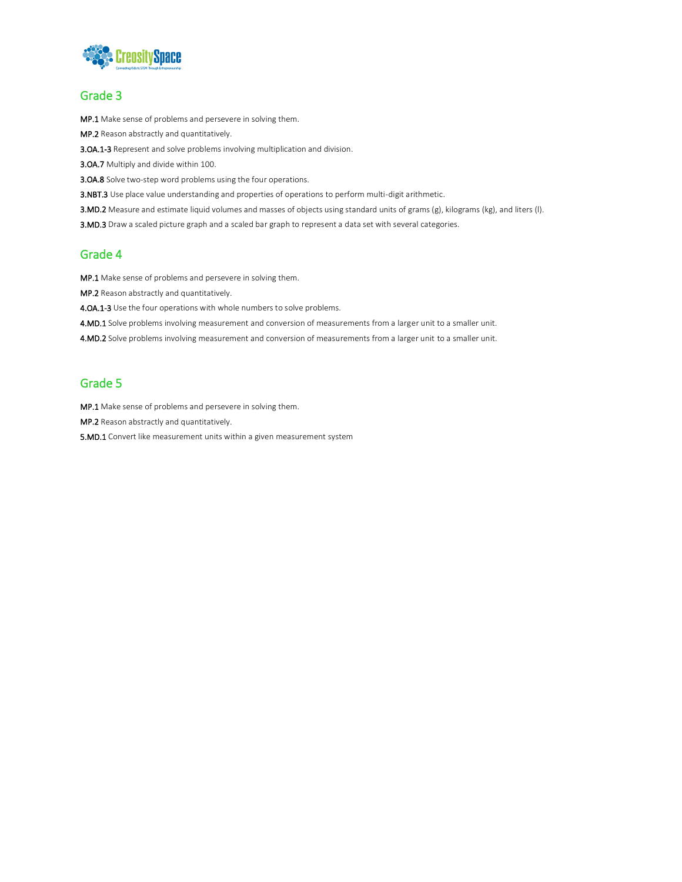

#### Grade 3

MP.1 Make sense of problems and persevere in solving them.

MP.2 Reason abstractly and quantitatively.

3.OA.1-3 Represent and solve problems involving multiplication and division.

3.OA.7 Multiply and divide within 100.

**3.OA.8** Solve two-step word problems using the four operations.

3.NBT.3 Use place value understanding and properties of operations to perform multi-digit arithmetic.

3.MD.2 Measure and estimate liquid volumes and masses of objects using standard units of grams (g), kilograms (kg), and liters (l).

3.MD.3 Draw a scaled picture graph and a scaled bar graph to represent a data set with several categories.

#### Grade 4

MP.1 Make sense of problems and persevere in solving them.

MP.2 Reason abstractly and quantitatively.

4.OA.1-3 Use the four operations with whole numbers to solve problems.

4.MD.1 Solve problems involving measurement and conversion of measurements from a larger unit to a smaller unit.

4.MD.2 Solve problems involving measurement and conversion of measurements from a larger unit to a smaller unit.

#### Grade 5

MP.1 Make sense of problems and persevere in solving them.

MP.2 Reason abstractly and quantitatively.

5.MD.1 Convert like measurement units within a given measurement system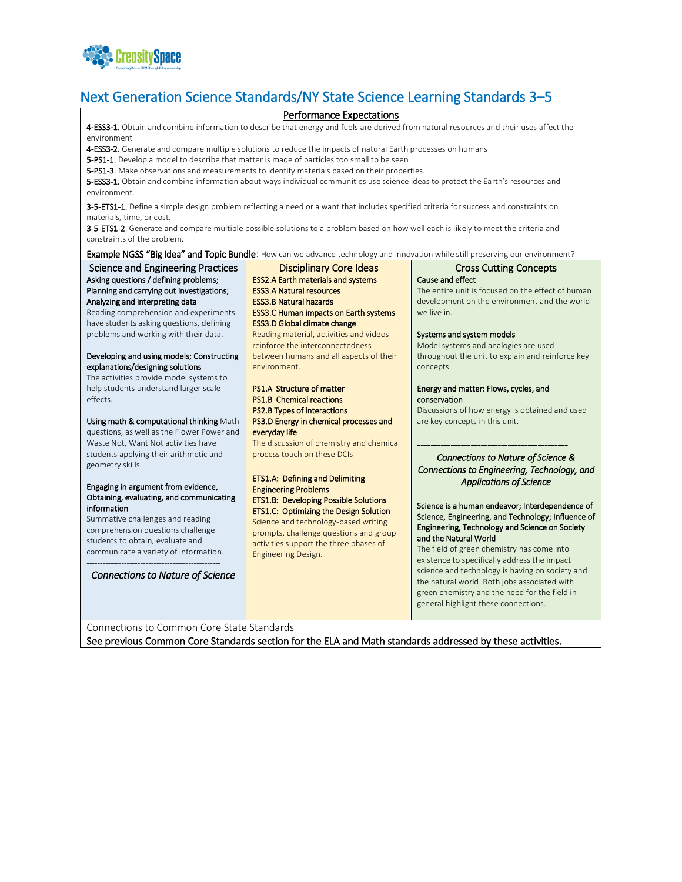

# Next Generation Science Standards/NY State Science Learning Standards 3–5

#### Performance Expectations

4-ESS3-1. Obtain and combine information to describe that energy and fuels are derived from natural resources and their uses affect the environment

4-ESS3-2. Generate and compare multiple solutions to reduce the impacts of natural Earth processes on humans

5-PS1-1. Develop a model to describe that matter is made of particles too small to be seen

5-PS1-3. Make observations and measurements to identify materials based on their properties.

5-ESS3-1. Obtain and combine information about ways individual communities use science ideas to protect the Earth's resources and environment.

3-5-ETS1-1. Define a simple design problem reflecting a need or a want that includes specified criteria for success and constraints on materials, time, or cost.

3-5-ETS1-2. Generate and compare multiple possible solutions to a problem based on how well each is likely to meet the criteria and constraints of the problem.

Example NGSS "Big Idea" and Topic Bundle: How can we advance technology and innovation while still preserving our environment?

| <b>Science and Engineering Practices</b>   | Disciplinary Core Ideas                      | <b>Cross Cutting Concepts</b>                      |
|--------------------------------------------|----------------------------------------------|----------------------------------------------------|
| Asking questions / defining problems;      | <b>ESS2.A Earth materials and systems</b>    | Cause and effect                                   |
| Planning and carrying out investigations;  | <b>ESS3.A Natural resources</b>              | The entire unit is focused on the effect of human  |
| Analyzing and interpreting data            | <b>ESS3.B Natural hazards</b>                | development on the environment and the world       |
| Reading comprehension and experiments      | <b>ESS3.C Human impacts on Earth systems</b> | we live in.                                        |
| have students asking questions, defining   | <b>ESS3.D Global climate change</b>          |                                                    |
| problems and working with their data.      | Reading material, activities and videos      | Systems and system models                          |
|                                            | reinforce the interconnectedness             | Model systems and analogies are used               |
| Developing and using models; Constructing  | between humans and all aspects of their      | throughout the unit to explain and reinforce key   |
| explanations/designing solutions           | environment.                                 | concepts.                                          |
| The activities provide model systems to    |                                              |                                                    |
| help students understand larger scale      | <b>PS1.A Structure of matter</b>             | Energy and matter: Flows, cycles, and              |
| effects.                                   | <b>PS1.B Chemical reactions</b>              | conservation                                       |
|                                            | <b>PS2.B Types of interactions</b>           | Discussions of how energy is obtained and used     |
| Using math & computational thinking Math   | PS3.D Energy in chemical processes and       | are key concepts in this unit.                     |
| questions, as well as the Flower Power and | everyday life                                |                                                    |
| Waste Not, Want Not activities have        | The discussion of chemistry and chemical     |                                                    |
| students applying their arithmetic and     | process touch on these DCIs                  |                                                    |
| geometry skills.                           |                                              | Connections to Nature of Science &                 |
|                                            |                                              | Connections to Engineering, Technology, and        |
| Engaging in argument from evidence,        | <b>ETS1.A: Defining and Delimiting</b>       | <b>Applications of Science</b>                     |
| Obtaining, evaluating, and communicating   | <b>Engineering Problems</b>                  |                                                    |
| information                                | ETS1.B: Developing Possible Solutions        | Science is a human endeavor; Interdependence of    |
| Summative challenges and reading           | ETS1.C: Optimizing the Design Solution       | Science, Engineering, and Technology; Influence of |
| comprehension questions challenge          | Science and technology-based writing         | Engineering, Technology and Science on Society     |
| students to obtain, evaluate and           | prompts, challenge questions and group       | and the Natural World                              |
| communicate a variety of information.      | activities support the three phases of       | The field of green chemistry has come into         |
|                                            | <b>Engineering Design.</b>                   | existence to specifically address the impact       |
|                                            |                                              | science and technology is having on society and    |
| <b>Connections to Nature of Science</b>    |                                              | the natural world. Both jobs associated with       |
|                                            |                                              | green chemistry and the need for the field in      |
|                                            |                                              | general highlight these connections.               |
|                                            |                                              |                                                    |

Connections to Common Core State Standards

See previous Common Core Standards section for the ELA and Math standards addressed by these activities.